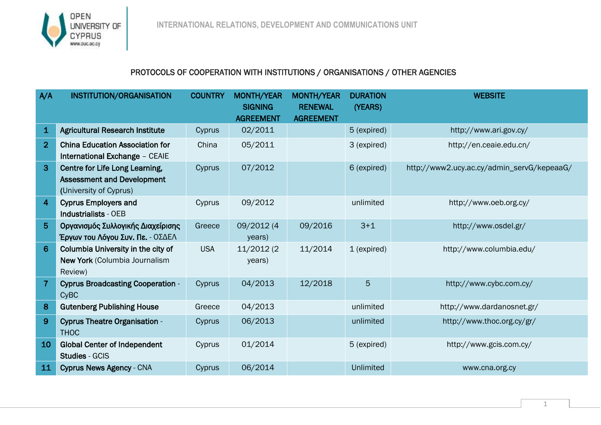

## PROTOCOLS OF COOPERATION WITH INSTITUTIONS / ORGANISATIONS / OTHER AGENCIES

| A/A            | INSTITUTION/ORGANISATION                                                                      | <b>COUNTRY</b> | <b>MONTH/YEAR</b><br><b>SIGNING</b> | <b>MONTH/YEAR</b><br><b>RENEWAL</b> | <b>DURATION</b><br>(YEARS) | <b>WEBSITE</b>                             |
|----------------|-----------------------------------------------------------------------------------------------|----------------|-------------------------------------|-------------------------------------|----------------------------|--------------------------------------------|
|                |                                                                                               |                | <b>AGREEMENT</b>                    | <b>AGREEMENT</b>                    |                            |                                            |
| $\mathbf{1}$   | <b>Agricultural Research Institute</b>                                                        | Cyprus         | 02/2011                             |                                     | 5 (expired)                | http://www.ari.gov.cy/                     |
| $\overline{2}$ | <b>China Education Association for</b><br>International Exchange - CEAIE                      | China          | 05/2011                             |                                     | 3 (expired)                | http://en.ceaie.edu.cn/                    |
| $\overline{3}$ | Centre for Life Long Learning,<br><b>Assessment and Development</b><br>(University of Cyprus) | Cyprus         | 07/2012                             |                                     | 6 (expired)                | http://www2.ucy.ac.cy/admin_servG/kepeaaG/ |
| $\overline{4}$ | <b>Cyprus Employers and</b><br><b>Industrialists - OEB</b>                                    | Cyprus         | 09/2012                             |                                     | unlimited                  | http://www.oeb.org.cy/                     |
| $5\phantom{.}$ | Οργανισμός Συλλογικής Διαχείρισης<br>Έργων του Λόγου Συν. Πε. - ΟΣΔΕΛ                         | Greece         | 09/2012 (4<br>years)                | 09/2016                             | $3 + 1$                    | http://www.osdel.gr/                       |
| 6              | Columbia University in the city of<br>New York (Columbia Journalism<br>Review)                | <b>USA</b>     | 11/2012 (2<br>years)                | 11/2014                             | 1 (expired)                | http://www.columbia.edu/                   |
| $\overline{7}$ | <b>Cyprus Broadcasting Cooperation -</b><br><b>CyBC</b>                                       | Cyprus         | 04/2013                             | 12/2018                             | 5                          | http://www.cybc.com.cy/                    |
| 8              | <b>Gutenberg Publishing House</b>                                                             | Greece         | 04/2013                             |                                     | unlimited                  | http://www.dardanosnet.gr/                 |
| $\overline{9}$ | <b>Cyprus Theatre Organisation -</b><br><b>THOC</b>                                           | Cyprus         | 06/2013                             |                                     | unlimited                  | http://www.thoc.org.cy/gr/                 |
| 10             | <b>Global Center of Independent</b><br><b>Studies - GCIS</b>                                  | Cyprus         | 01/2014                             |                                     | 5 (expired)                | http://www.gcis.com.cy/                    |
| 11             | <b>Cyprus News Agency - CNA</b>                                                               | Cyprus         | 06/2014                             |                                     | <b>Unlimited</b>           | www.cna.org.cy                             |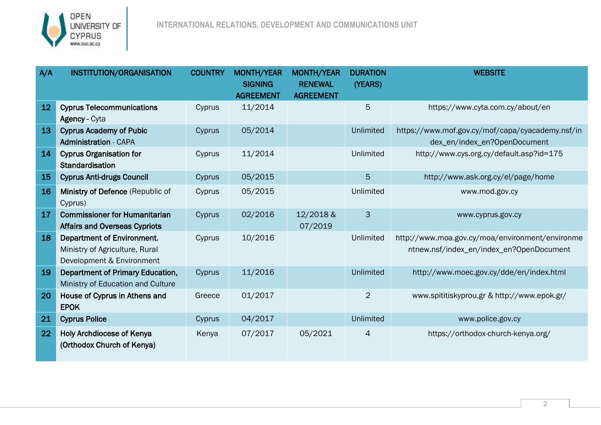

| A/A | <b>INSTITUTION/ORGANISATION</b>                                                           | <b>COUNTRY</b> | <b>MONTH/YEAR</b><br><b>SIGNING</b> | MONTH/YEAR<br><b>RENEWAL</b> | <b>DURATION</b><br>(YEARS) | <b>WEBSITE</b>                                                                              |
|-----|-------------------------------------------------------------------------------------------|----------------|-------------------------------------|------------------------------|----------------------------|---------------------------------------------------------------------------------------------|
|     |                                                                                           |                | <b>AGREEMENT</b>                    | <b>AGREEMENT</b>             |                            |                                                                                             |
| 12  | <b>Cyprus Telecommunications</b><br><b>Agency - Cyta</b>                                  | Cyprus         | 11/2014                             |                              | 5                          | https://www.cyta.com.cy/about/en                                                            |
| 13  | <b>Cyprus Academy of Pubic</b><br><b>Administration - CAPA</b>                            | Cyprus         | 05/2014                             |                              | Unlimited                  | https://www.mof.gov.cy/mof/capa/cyacademy.nsf/in<br>dex_en/index_en?OpenDocument            |
| 14  | <b>Cyprus Organisation for</b><br>Standardisation                                         | Cyprus         | 11/2014                             |                              | Unlimited                  | http://www.cys.org.cy/default.asp?id=175                                                    |
| 15  | <b>Cyprus Anti-drugs Council</b>                                                          | Cyprus         | 05/2015                             |                              | 5                          | http://www.ask.org.cy/el/page/home                                                          |
| 16  | Ministry of Defence (Republic of<br>Cyprus)                                               | Cyprus         | 05/2015                             |                              | Unlimited                  | www.mod.gov.cy                                                                              |
| 17  | <b>Commissioner for Humanitarian</b><br><b>Affairs and Overseas Cypriots</b>              | Cyprus         | 02/2016                             | 12/2018 &<br>07/2019         | $\mathbf{3}$               | www.cyprus.gov.cy                                                                           |
| 18  | Department of Environment,<br>Ministry of Agriculture, Rural<br>Development & Environment | Cyprus         | 10/2016                             |                              | Unlimited                  | http://www.moa.gov.cy/moa/environment/environme<br>ntnew.nsf/index_en/index_en?OpenDocument |
| 19  | <b>Department of Primary Education,</b><br>Ministry of Education and Culture              | Cyprus         | 11/2016                             |                              | <b>Unlimited</b>           | http://www.moec.gov.cy/dde/en/index.html                                                    |
| 20  | House of Cyprus in Athens and<br><b>EPOK</b>                                              | Greece         | 01/2017                             |                              | $\overline{2}$             | www.spititiskyprou.gr & http://www.epok.gr/                                                 |
| 21  | <b>Cyprus Police</b>                                                                      | Cyprus         | 04/2017                             |                              | <b>Unlimited</b>           | www.police.gov.cy                                                                           |
| 22  | <b>Holy Archdiocese of Kenya</b><br>(Orthodox Church of Kenya)                            | Kenya          | 07/2017                             | 05/2021                      | $\overline{4}$             | https://orthodox-church-kenya.org/                                                          |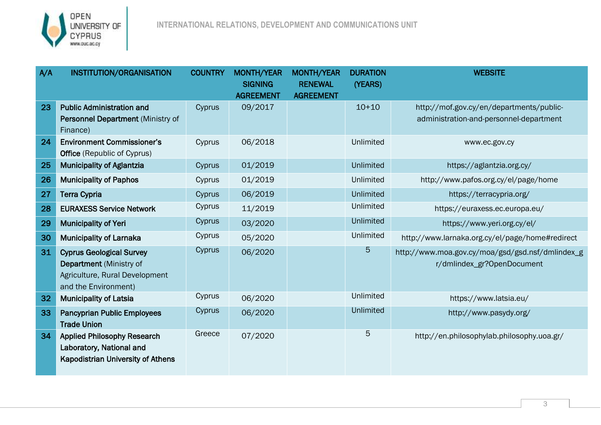

| A/A | <b>INSTITUTION/ORGANISATION</b>                                                                                             | <b>COUNTRY</b> | MONTH/YEAR                         | <b>MONTH/YEAR</b>                  | <b>DURATION</b>  | <b>WEBSITE</b>                                                                      |
|-----|-----------------------------------------------------------------------------------------------------------------------------|----------------|------------------------------------|------------------------------------|------------------|-------------------------------------------------------------------------------------|
|     |                                                                                                                             |                | <b>SIGNING</b><br><b>AGREEMENT</b> | <b>RENEWAL</b><br><b>AGREEMENT</b> | (YEARS)          |                                                                                     |
| 23  | <b>Public Administration and</b><br>Personnel Department (Ministry of<br>Finance)                                           | Cyprus         | 09/2017                            |                                    | $10+10$          | http://mof.gov.cy/en/departments/public-<br>administration-and-personnel-department |
| 24  | <b>Environment Commissioner's</b><br><b>Office</b> (Republic of Cyprus)                                                     | Cyprus         | 06/2018                            |                                    | Unlimited        | www.ec.gov.cy                                                                       |
| 25  | <b>Municipality of Aglantzia</b>                                                                                            | Cyprus         | 01/2019                            |                                    | <b>Unlimited</b> | https://aglantzia.org.cy/                                                           |
| 26  | <b>Municipality of Paphos</b>                                                                                               | Cyprus         | 01/2019                            |                                    | Unlimited        | http://www.pafos.org.cy/el/page/home                                                |
| 27  | <b>Terra Cypria</b>                                                                                                         | Cyprus         | 06/2019                            |                                    | <b>Unlimited</b> | https://terracypria.org/                                                            |
| 28  | <b>EURAXESS Service Network</b>                                                                                             | Cyprus         | 11/2019                            |                                    | Unlimited        | https://euraxess.ec.europa.eu/                                                      |
| 29  | <b>Municipality of Yeri</b>                                                                                                 | Cyprus         | 03/2020                            |                                    | Unlimited        | https://www.yeri.org.cy/el/                                                         |
| 30  | <b>Municipality of Larnaka</b>                                                                                              | Cyprus         | 05/2020                            |                                    | Unlimited        | http://www.larnaka.org.cy/el/page/home#redirect                                     |
| 31  | <b>Cyprus Geological Survey</b><br><b>Department</b> (Ministry of<br>Agriculture, Rural Development<br>and the Environment) | Cyprus         | 06/2020                            |                                    | 5                | http://www.moa.gov.cy/moa/gsd/gsd.nsf/dmlindex_g<br>r/dmlindex_gr?OpenDocument      |
| 32  | <b>Municipality of Latsia</b>                                                                                               | Cyprus         | 06/2020                            |                                    | Unlimited        | https://www.latsia.eu/                                                              |
| 33  | <b>Pancyprian Public Employees</b><br><b>Trade Union</b>                                                                    | Cyprus         | 06/2020                            |                                    | <b>Unlimited</b> | http://www.pasydy.org/                                                              |
| 34  | <b>Applied Philosophy Research</b><br>Laboratory, National and<br><b>Kapodistrian University of Athens</b>                  | Greece         | 07/2020                            |                                    | 5                | http://en.philosophylab.philosophy.uoa.gr/                                          |